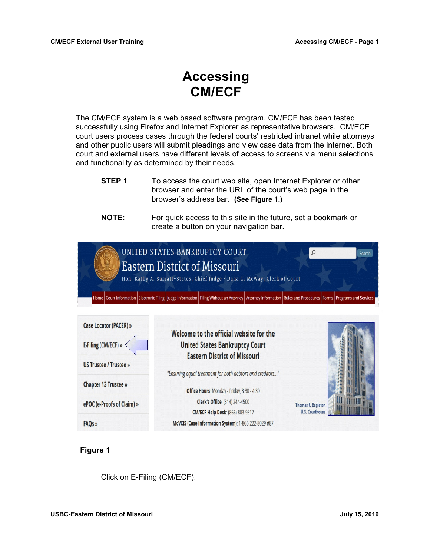# **Accessing CM/ECF**

The CM/ECF system is a web based software program. CM/ECF has been tested successfully using Firefox and Internet Explorer as representative browsers. CM/ECF court users process cases through the federal courts' restricted intranet while attorneys and other public users will submit pleadings and view case data from the internet. Both court and external users have different levels of access to screens via menu selections and functionality as determined by their needs.

**STEP 1** To access the court web site, open Internet Explorer or other browser and enter the URL of the court's web page in the browser's address bar. **(See Figure 1.)**

### **NOTE:** For quick access to this site in the future, set a bookmark or create a button on your navigation bar.



## **Figure 1**

Click on E-Filing (CM/ECF).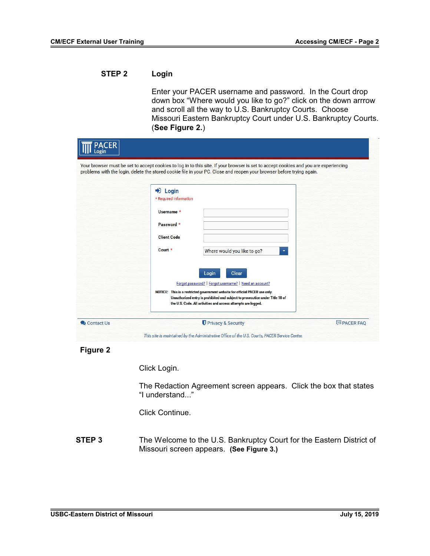## **STEP 2 Login**

Enter your PACER username and password. In the Court drop down box "Where would you like to go?" click on the down arrrow and scroll all the way to U.S. Bankruptcy Courts. Choose Missouri Eastern Bankruptcy Court under U.S. Bankruptcy Courts. (**See Figure 2.**)

| <b>PACER</b><br>Login |                                                                                                                                                                                                                                                                                                            |                  |
|-----------------------|------------------------------------------------------------------------------------------------------------------------------------------------------------------------------------------------------------------------------------------------------------------------------------------------------------|------------------|
|                       | Your browser must be set to accept cookies to log in to this site. If your browser is set to accept cookies and you are experiencing<br>problems with the login, delete the stored cookie file in your PC. Close and reopen your browser before trying again.<br>$\blacktriangleright$ Login               |                  |
|                       | * Required Information<br>Username *<br>Password *                                                                                                                                                                                                                                                         |                  |
|                       | <b>Client Code</b><br>Court *<br>Where would you like to go?                                                                                                                                                                                                                                               |                  |
|                       | Clear<br>Login<br>Forgot password?   Forgot username?   Need an account?<br>NOTICE: This is a restricted government website for official PACER use only.<br>Unauthorized entry is prohibited and subject to prosecution under Title 18 of<br>the U.S. Code. All activities and access attempts are logged. |                  |
| Contact Us            | Privacy & Security                                                                                                                                                                                                                                                                                         | <b>PACER FAQ</b> |

 **Figure 2**

Click Login.

The Redaction Agreement screen appears. Click the box that states "I understand..."

Click Continue.

**STEP 3** The Welcome to the U.S. Bankruptcy Court for the Eastern District of Missouri screen appears. **(See Figure 3.)**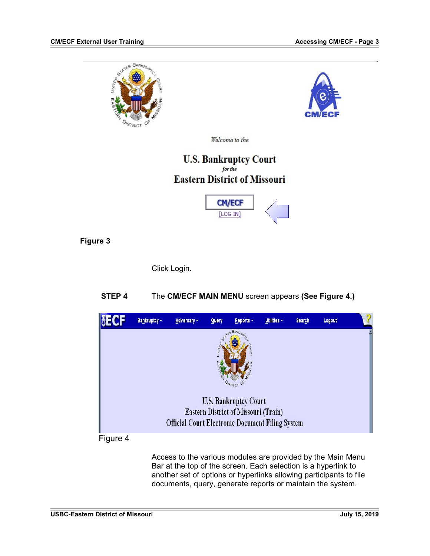



Welcome to the

## **U.S. Bankruptcy Court** for the **Eastern District of Missouri**



## **Figure 3**

Click Login.

## **STEP 4** The **CM/ECF MAIN MENU** screen appears **(See Figure 4.)**



Access to the various modules are provided by the Main Menu Bar at the top of the screen. Each selection is a hyperlink to another set of options or hyperlinks allowing participants to file documents, query, generate reports or maintain the system.